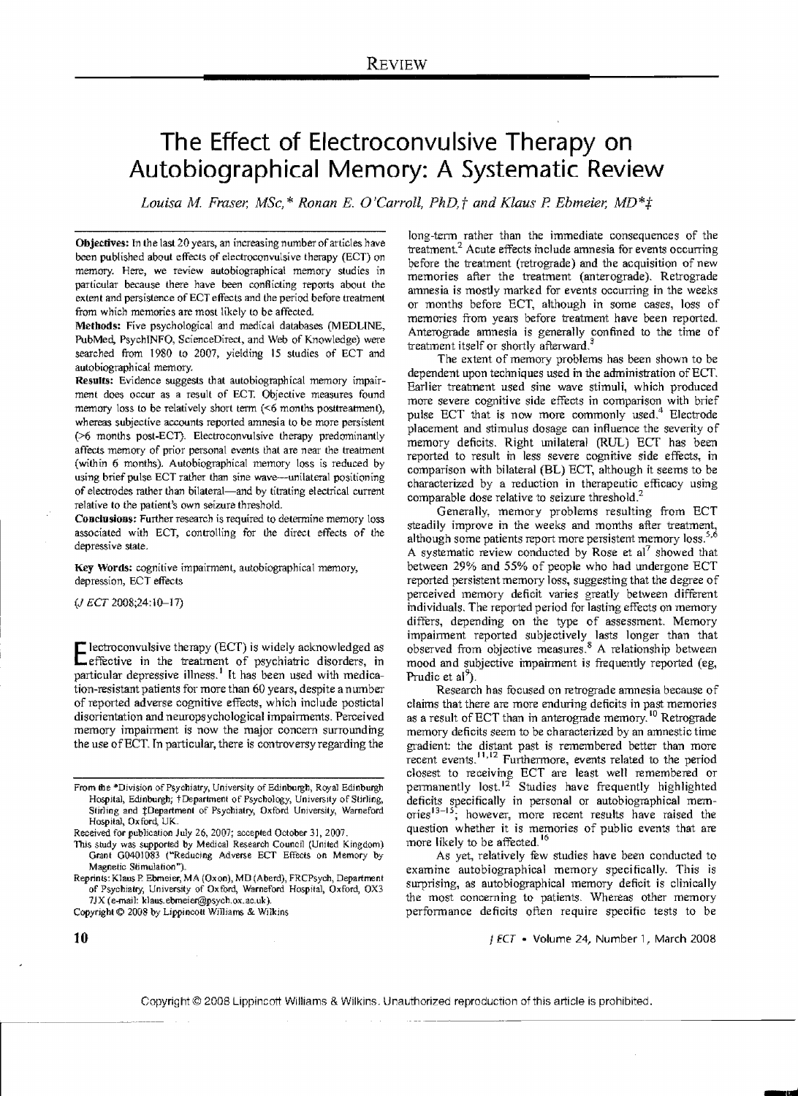# **The Effect of Electroconvulsive Therapy on Autobiographical Memory: A Systematic Review**

*Louisa M. Fraser, MSc,\* Ronan E. O'Carroll, PhD,† and Klaus P. Ebmeier, MD\*#* 

Objectives: In the last 20 years, an increasing number of articles have been published about effects of electroconvulsive therapy (ECT) on memory. Here, we review autobiographical memory studies in particular because there have been conflicting reports about the extent and persistence of ECT effects and the period before treatment from which memories are most likely to be affected.

Methods: Five psychological and medical databases (MEDLINE, PubMed, PsychINFO, ScienceDirect, and Web of Knowledge) were searched from 1980 to 2007, yielding 15 studies of ECT and autobiographical memory.

Results: Evidence suggests that autobiographical memory impairment does occur as a result of ECT. Objective measures found memory loss to be relatively short term  $(56$  months posttreatment), whereas subjective accounts reported amnesia to be more persistent (>6 months post-ECT). Electroconvulsive therapy predominantly affects memory of prior personal events that are near the treatment (within 6 months). Autobiographical memory loss is reduced by using brief pulse ECT rather than sine wave-unilateral positioning of electrodes rather than bilateral-and by titrating electrical current relative to the patient's own seizure threshold.

Conclusions: Further research is required to determine memory loss associated with ECT, controlling for the direct effects of the depressive state.

Key Words: cognitive impairment, autobiographical memory, depression, ECT effects

(J ECT 2008;24:10-17)

**Electroconvulsive therapy (ECT) is widely acknowledged as effective in the treatment of psychiatric disorders, in** particular depressive illness.<sup>1</sup> It has been used with medication-resistant patients for more than 60 years, despite a number of reported adverse cognitive effects, which include postictal disorientation and neuropsychological impairments. Perceived memory impairment is now the major concern surrounding the use ofECT. Tn particular, there is controversy regarding the

This study was supported by Medical Research Council (United Kingdom) Grant G0401083 ("Reducing Adverse ECT Effects on Memory by Magnetic Stimulation").

Reprints: Klaus P. Ebmeier, MA (Oxon), MD (Aberd), FRCPsych, Department of Psychiatry, University of Oxford, Warneford Hospital, Oxford, OX3 7JX (e-mail: klaus.ebmeier@psych.ox.ac.uk).

Copyright  $©$  2008 by Lippincott Williams & Wilkins

long-tenn rather than the immediate consequences of the treatment? Acute effects include amnesia for events occurring before the treatment (retrograde) and the acquisition of new memories after the treatment (anterograde). Retrograde amnesia is mostly marked for events occurring in the weeks or months before ECT, although in some cases, loss of memories from years before treatment have been reported. Anterograde amnesia is generally confined to the time of treatment itself or shortly afterward.<sup>3</sup>

The extent of memory problems has been shown to be dependent upon techniques used in the administration of ECT. Earlier treatment used sine wave stimuli, which produced more severe cognitive side effects in comparison with brief pulse ECT that is now more commonly used.<sup>4</sup> Electrode placement and stimulus dosage can influence the severity of memory deficits. Right unilateral (RUL) ECf has been reported to result in less severe cognitive side effects, in comparison with bilateral (BL) ECT, although it seems to be characterized by a reduction in therapeutic efficacy using comparable dose relative to seizure threshold?

Generally, memory problems resulting from ECT steadily improve in the weeks and months after treatment, although some patients report more persistent memory loss.<sup>5,6</sup> A systematic review conducted by Rose et al<sup>7</sup> showed that between 29% and 55% of people who had undergone ECT reported persistent memory loss, suggesting that the degree of perceived memory deficit varies greatly between different individuals. The reported period for lasting effects on memory differs, depending on the type of assessment. Memory impainnent reported subjectively lasts longer than that observed from objective measures.8 A relationship between mood and subjective impairment is frequently reported (eg, Prudic et al<sup>9</sup>).

Research has focused on retrograde amnesia because of claims that there are more enduring deficits in past memories as a result of ECT than in anterograde memory.<sup>10</sup> Retrograde memory deficits seem to be characterized by an amnestic time gradient: the distant past is remembered better than more recent events,<sup>11,12</sup> Furthermore, events related to the period closest to receiving ECT are least well remembered or permanently lost.<sup>12</sup> Studies have frequently highlighted deficits specifically in personal or autobiographical memories $13-15$ ; however, more recent results have raised the question whether it is memories of public events that are more likely to be affected.<sup>16</sup>

As yet, relatively few studies have been conducted to examine autobiographical memory specifically. This is surprising, as autobiographical memory deficit is clinically the most concerning to patients. Whereas other memory performance deficits often require specific tests to be

J*ECT* • Volume 24, Number 1, March 2008

From the \*Division of Psychiatry, University of Edinburgh, Royal Edinburgh Hospital, Edinburgh; tDepartment of Psychology, University of Stirling, Stirling and tDepartment of Psychiatry, Oxford University, Warneford Hospital, Oxford, UK.

Received for publication July 26, 2007; accepted October 31, 2007.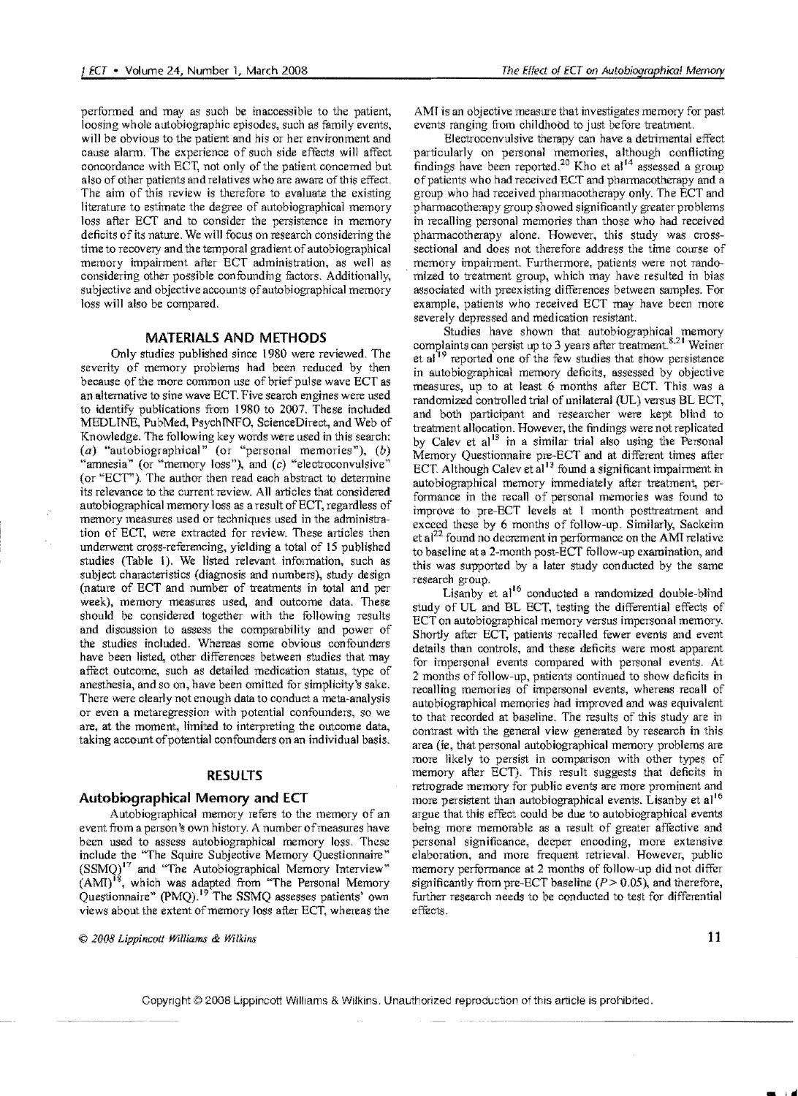perfonned and may as such be inaccessible to the patient, loosing whole autobiographic episodes, such as family events, will be obvious to the patient and his or her environment and cause alann. The experience of such side effects will affect concordance with ECT, not only of the patient concemed but also of other patients and relatives who are aware of this effect. The aim of this review is therefore to evaluate the existing literature to estimate the degree of autobiographical memory loss after ECT and to consider the persistence in memory deficits of its nature. We will focus on research considering the time to recovery and the temporal gradient of autobiographical memory impainnent after ECT administration, as well as considering other possible confuunding factors. Additionally, subjective and objective accounts of autobiographical memory loss wi11 also be compared.

## **MATERIALS AND METHODS**

Only studies published since 1980 were reviewed. The severity of memory problems had been reduced by then because of the more common use of brief pulse wave ECT as an alternative to sine wave ECT. Five search engines were used to identify publications from t 980 to 2007. These included MEDUNE, PubMed, PsychTNFO, ScienceDirect, and Web of Knowledge. The following key words were used in this search: (a) "autobiographical" (or "personal memories"),  $(b)$ "amnesia" (or "memory loss"), and (c) "electroconvulsive" (or "ECT"). The author then read each abstract to determine its relevance to the current review. All articles that considered autobiographical memory loss as a result of ECT, regardless of memory measures used or techniques used in the administration of ECT, were extracted for review. These articles then underwent cross-referencing, yielding a total of IS published studies (Table 1). We listed relevant infonnation, such as subject characteristics (diagnosis and numbers), study design (nature of ECT and number of treatments in total and per week), memory measures used, and outcome data. These should be considered together with the following results and discussion to assess the comparability and power of the studies included. Whereas some obvious confounders have been listed, other differences between studies that may affect outcome, such as detailed medication status, type of anesthesia, and so on, have been omitted for simplicity's sake. There were clearly not enough data to conduct a meta-analysis or even a metaregression with potential confounders, so we are, at the moment, limited to interpreting the outcome data, taking account of potential confounders on an individual basis.

# **RESULTS**

## **Autobiographical Memory and ECT**

Autobiographical memory refers to the memory of an event from a person's own history. A number of measures have been used to assess autobiographical memory loss. These include the "The Squire Subjective Memory Questionnaire"  $(SSMQ)<sup>17</sup>$  and "The Autobiographical Memory Interview"  $(AMI)^{18}$ , which was adapted from "The Personal Memory Questionnaire" (pMQ).19 The SSMQ assesses patients' own views about the extent of memory loss after ECT, whereas the

© *2008 Lippinc(7ii Williams* & *Wilkin.s* 

AMI is an objective measure that investigates memory for past events ranging from childhood to just before treatment.

Electroconvulsive therapy can have a detrimental effect particularly on personal memories, although conflicting findings have been reported.<sup>20</sup> Kho et al<sup>14</sup> assessed a group of patients who had received ECT and pharmacotherapy and a group who had received phannacotherapy only. The ECT and phannacotherapy group showed significantly greater problems in recalling personal memories than those who had received pharmacotherapy alone. However, this study was crosssectional and does not therefore address the time course of memory impairment. Furthermore, patients were not randomized to treatment group, which may have resulted in bias associated with preexisting differences between samples. For example, patients who received ECT may have been more severely depressed and medication resistant.

Studies have shown that autobiographical memory complaints can persist up to 3 years after treatment.<sup>8,21</sup> Weiner et  $al<sup>19</sup>$  reported one of the few studies that show persistence in autobiographical memory deficits, assessed by objective measures, up to at least 6 months after ECT. This was a randomized controlled trial of unilateral (UL) versus BL ECT. and both participant and researcher were kept blind to treatment allocation. However, the findings were not replicated by Calev et al $^{13}$  in a similar trial also using the Personal Memory Questionnaire pre-ECT and at different times after ECT. Although Calev et  $a^{13}$  found a significant impairment in autobiographical memory immediately after treatment, perfonnance in the recall of personal memories was found to improve to pre-ECT levels at I month posttreatment and exceed these by 6 months of follow-up. Similarly, Sackeim et al<sup>22</sup> found no decrement in performance on the AMI relative to baseline ata 2-month post-ECT follow-up examination, and this was supported by a later study conducted by the same research group.

Lisanby et  $al^{16}$  conducted a randomized double-blind study of UL and BL ECT, testing the differential effects of ECT on autobiographical memory versus impersonal memory. Shortly after ECT, patients recalled fewer events and event details than controls, and these deficits were rnost apparent for impersonal events compared with personal events. At 2 months of follow-up, patients continued to show deficits in recalling memories of impersonal events, whereas recall of autobiographical memories had improved and was equivalent to that recorded at baseline. The results of this study are in contrast with the general view generated by research in this area (ie, that personal autobiographical memory problems are more likely to persist in comparison with other types of memory after ECT). This result suggests that deficits in retrograde memory for public events are more prominent and more persistent than autobiographical events. Lisanby et al<sup>16</sup> argue that this effect could be due to autobiographical events being more memorable as a result of greater affective and personal significance, deeper encoding, more extensive elaboration, and more frequent retrieval. However, public memory performance at 2 months of follow-up did not differ significantly from pre-ECT baseline  $(P> 0.05)$ , and therefore, further research needs to be conducted to test for differential effects.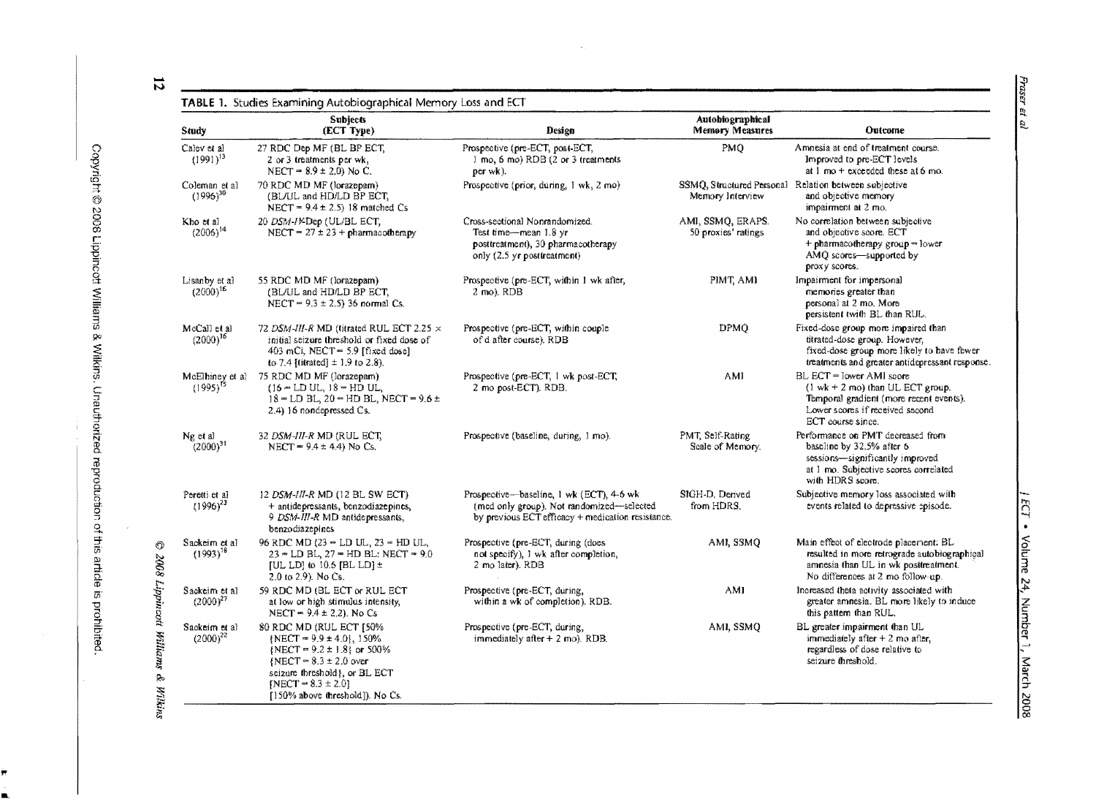Fraser et al

 $\bar{\phantom{a}}$ 

 $\vec{v}$ 

| Study                             | <b>Subjects</b><br>(ECT Type)                                                                                                                                                                                             | Design                                                                                                                                     | Autobiographical<br><b>Memory Measures</b> | <b>Outcome</b>                                                                                                                                                                     |
|-----------------------------------|---------------------------------------------------------------------------------------------------------------------------------------------------------------------------------------------------------------------------|--------------------------------------------------------------------------------------------------------------------------------------------|--------------------------------------------|------------------------------------------------------------------------------------------------------------------------------------------------------------------------------------|
| Calev et al.<br>$(1991)^{13}$     | 27 RDC Dep MF (BL BP ECT,<br>2 or 3 treatments per wk,<br>NECT = $8.9 \pm 2.0$ ) No C.                                                                                                                                    | Prospective (pre-ECT, post-ECT,<br>1 mo, 6 mo) RDB (2 or 3 treatments<br>per wk).                                                          | PMO                                        | Amnesia at end of treatment course.<br>Improved to pre-ECT levels<br>at $1 \text{ mo} +$ exceeded these at 6 mo.                                                                   |
| Coleman et al<br>$(1996)^{30}$    | 70 RDC MD MF (lorazepam)<br>(BL/UL and HD/LD BP ECT,<br>NECT = $9.4 \pm 2.5$ ) 18 matched Cs                                                                                                                              | Prospective (prior, during, 1 wk, 2 mo)                                                                                                    | Memory Interview                           | SSMQ, Structured Personal Relation between subjective<br>and objective memory<br>impairment at 2 mo.                                                                               |
| Kho et al<br>$(2006)^{14}$        | 20 DSM-JKDep (UL/BL ECT,<br>NECT = $27 \pm 23 + \text{pharmacotherapy}$                                                                                                                                                   | Cross-sectional Nonrandomized.<br>Test time-mean 1.8 yr<br>posttreatment), 30 pharmacotherapy<br>only (2.5 yr posttreatment)               | AMI, SSMO, ERAPS.<br>50 proxies' ratings   | No correlation between subjective<br>and objective score. ECT<br>+ pharmacotherapy group = lower<br>AMQ scores—supported by<br>proxy scores.                                       |
| Lisanby et al<br>$(2000)^{16}$    | 55 RDC MD MF (lorazepam)<br>(BL/UL and HD/LD BP ECT,<br>NECT = $9.3 \pm 2.5$ ) 36 normal Cs.                                                                                                                              | Prospective (pre-ECT, within 1 wk after,<br>2 mo). RDB                                                                                     | PIMT, AMI                                  | Impairment for impersonal<br>memories greater than<br>personal at 2 mo. More<br>persistent twith BL than RUL.                                                                      |
| McCall et al<br>$(2000)^{16}$     | 72 DSM-III-R MD (titrated RUL ECT 2.25 $\times$<br>initial seizure threshold or fixed dose of<br>403 mCi, NECT = $5.9$ [fixed dose]<br>to 7.4 [titrated] $\pm$ 1.9 to 2.8).                                               | Prospective (pre-ECT, within couple<br>of d after course). RDB                                                                             | <b>DPMQ</b>                                | Fixed-dose group more impaired than<br>titrated-dose group. However,<br>fixed-dose group more likely to have fewer<br>treatments and greater antidepressant response.              |
| McElhiney et al.<br>$(1995)^{15}$ | 75 RDC MD MF (lorazepam)<br>$(16 - LD UL, 18 = HD UL,$<br>$18 =$ LD BL, $20 =$ HD BL, NECT = $9.6 \pm$<br>2.4) 16 nondepressed Cs.                                                                                        | Prospective (pre-ECT, 1 wk post-ECT,<br>2 mo post-ECT). RDB.                                                                               | AMI                                        | BL ECT = lower AMI score<br>$(1 \text{ wk} + 2 \text{ mol})$ than UL ECT group.<br>Temporal gradient (more recent events).<br>Lower scores if received second<br>ECT course since. |
| Ng et al<br>$(2000)^{31}$         | 32 <i>DSM-HI-R M</i> D (RUL ECT,<br>NECT = $9.4 \pm 4.4$ ) No Cs.                                                                                                                                                         | Prospective (baseline, during, 1 mo).                                                                                                      | PMT, Self-Rating<br>Scale of Memory.       | Performance on PMT decreased from<br>baseline by 32.5% after 6<br>sessions—significantly improved<br>at 1 mo. Subjective scores correlated<br>with HDRS score.                     |
| Peretti et al<br>$(1996)^{23}$    | 12 DSM-III-R MD (12 BL SW ECT)<br>+ antidepressants, benzodiazepines,<br>9 DSM-III-R MD antidepressants,<br>benzodiazepines                                                                                               | Prospective—baseline, 1 wk (ECT), 4-6 wk<br>(med only group). Not randomized-selected<br>by previous ECT efficacy + medication resistance. | SIGH-D. Derived<br>from HDRS.              | Subjective memory loss associated with<br>events related to depressive episode.                                                                                                    |
| Sackeim et al<br>$(1993)^{18}$    | 96 RDC MD $(23 - LD UL, 23 - HD UL,$<br>$23 = LD BL$ , $27 = HD BL$ ; NECT = 9.0<br>[UL LD] to 10.6 [BL LD] $\pm$<br>2.0 to 2.9). No Cs.                                                                                  | Prospective (pre-ECT, during (does<br>not specify), I wk after completion,<br>2 mo later). RDB                                             | AMI, SSMQ                                  | Main effect of electrode placement: BL<br>resulted in more retrograde autobiographical<br>amnesia than UL in wk posttreatment.<br>No differences at 2 mo follow-up.                |
| Sackeim et al<br>$(2000)^{27}$    | 59 RDC MD (BL ECT or RUL ECT<br>at low or high stimulus intensity,<br>NECT = $9.4 \pm 2.2$ ). No Cs                                                                                                                       | Prospective (pre-ECT, during,<br>within a wk of completion). RDB.                                                                          | AM1                                        | Increased theta activity associated with<br>greater amnesia. BL more likely to induce<br>this pattern than RUL.                                                                    |
| Sackeim et al<br>$(2000)^{22}$    | 80 RDC MD (RUL ECT [50%<br>$\{NECT = 9.9 \pm 4.0\}, 150\%$<br>{NECT = $9.2 \pm 1.8$ } or 500%<br>$NECT = 8.3 \pm 2.0$ over<br>seizure threshold}, or BL ECT<br>[NECT = $8.3 \pm 2.0$ ]<br>[150% above threshold]). No Cs. | Prospective (pre-ECT, during,<br>immediately after $+$ 2 mo). RDB.                                                                         | AMI, SSMQ                                  | BL greater impairment than UL<br>immediately after $+2$ mo after,<br>regardless of dose relative to<br>seizure threshold.                                                          |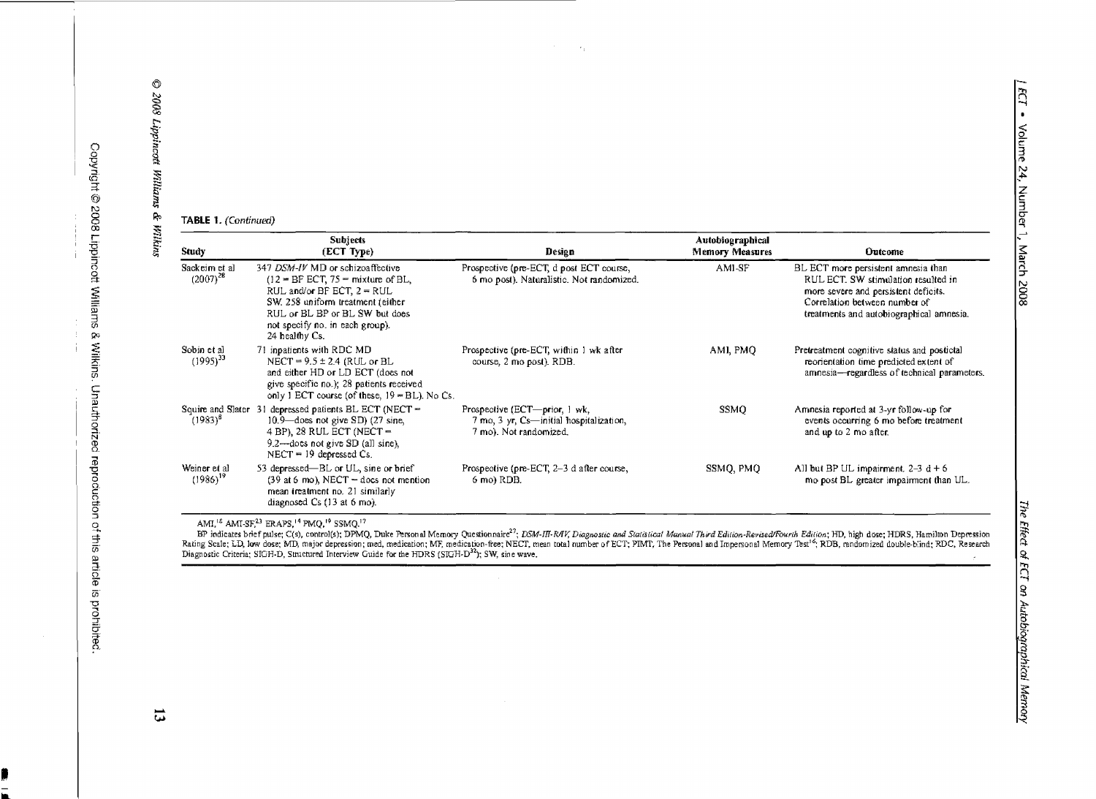TABLE 1. (Continued)

| Study                           | <b>Subjects</b><br>(ECT Type)                                                                                                                                                                                                     | Design                                                                                             | Autobiographical<br><b>Memory Measures</b> | Outcome                                                                                                                                                                                         |
|---------------------------------|-----------------------------------------------------------------------------------------------------------------------------------------------------------------------------------------------------------------------------------|----------------------------------------------------------------------------------------------------|--------------------------------------------|-------------------------------------------------------------------------------------------------------------------------------------------------------------------------------------------------|
| Sackeim et al.<br>$(2007)^{28}$ | 347 DSM-IV MD or schizoaffective<br>$(12 = BFCT, 75 = mixture of BL)$<br>RUL and/or BF ECT, $2 = RUL$<br>SW, 258 uniform treatment (either<br>RUL or BL BP or BL SW but does<br>not specify no, in each group).<br>24 healthy Cs. | Prospective (pre-ECT, d post ECT course,<br>6 mo post). Naturalistic. Not randomized.              | AMI-SF                                     | BL ECT more persistent amnesia than<br>RUL ECT. SW stimulation resulted in<br>more severe and persistent deficits.<br>Correlation between number of<br>treatments and autobiographical amnesia. |
| Sobin et al<br>$(1995)^{33}$    | 71 inpatients with RDC MD<br>NECT = $9.5 \pm 2.4$ (RUL or BL<br>and either HD or LD ECT (does not<br>give specific no.); 28 patients received<br>only 1 ECT course (of these, $19 = BL$ ). No Cs.                                 | Prospective (pre-ECT, within 1 wk after<br>course, 2 mo post). RDB.                                | AMI, PMO                                   | Pretreatment cognitive status and postictal<br>reorientation time predicted extent of<br>amnesia-regardless of technical parameters.                                                            |
| $(1983)^8$                      | Squire and Slater 31 depressed patients BL ECT (NECT =<br>$10.9$ —does not give SD) $(27 \text{ sine},$<br>4 BP), 28 RUL ECT (NECT $=$<br>9.2—does not give SD (all sine).<br>$NECT = 19$ depressed Cs.                           | Prospective (ECT-prior, 1 wk,<br>7 mo, 3 yr, Cs-initial hospitalization,<br>7 mo). Not randomized. | SSMO                                       | Amnesia reported at 3-yr follow-up for<br>events occurring 6 mo before treatment<br>and up to 2 mo after.                                                                                       |
| Weiner et al<br>$(1986)^{19}$   | 53 depressed—BL or UL, sine or brief<br>$(39$ at 6 mo), NECT = does not mention<br>mean treatment no. 21 similarly<br>diagnosed $Cs$ (13 at 6 mo).                                                                                | Prospective (pre-ECT, 2-3 d after course,<br>6 mo) RDB.                                            | SSMO, PMO                                  | All but BP UL impairment $2-3$ d + 6<br>mo post BL greater impairment than UL.                                                                                                                  |

 $\mathcal{F}_L$ 

AMI<sup>12</sup> AMI-SF,<sup>23</sup> ERAPS,<sup>14</sup> PMQ,<sup>19</sup> SSMQ.<sup>17</sup><br>BP indicates brief pulse; C(s), control(s); DPMQ, Duke Personal Memory Questionnaire<sup>27</sup>; DSM-III-RAV, Diagnostic and Statistical Manual Third Edition-Revised/Fourth Editio

 $\overline{\mathbf{u}}$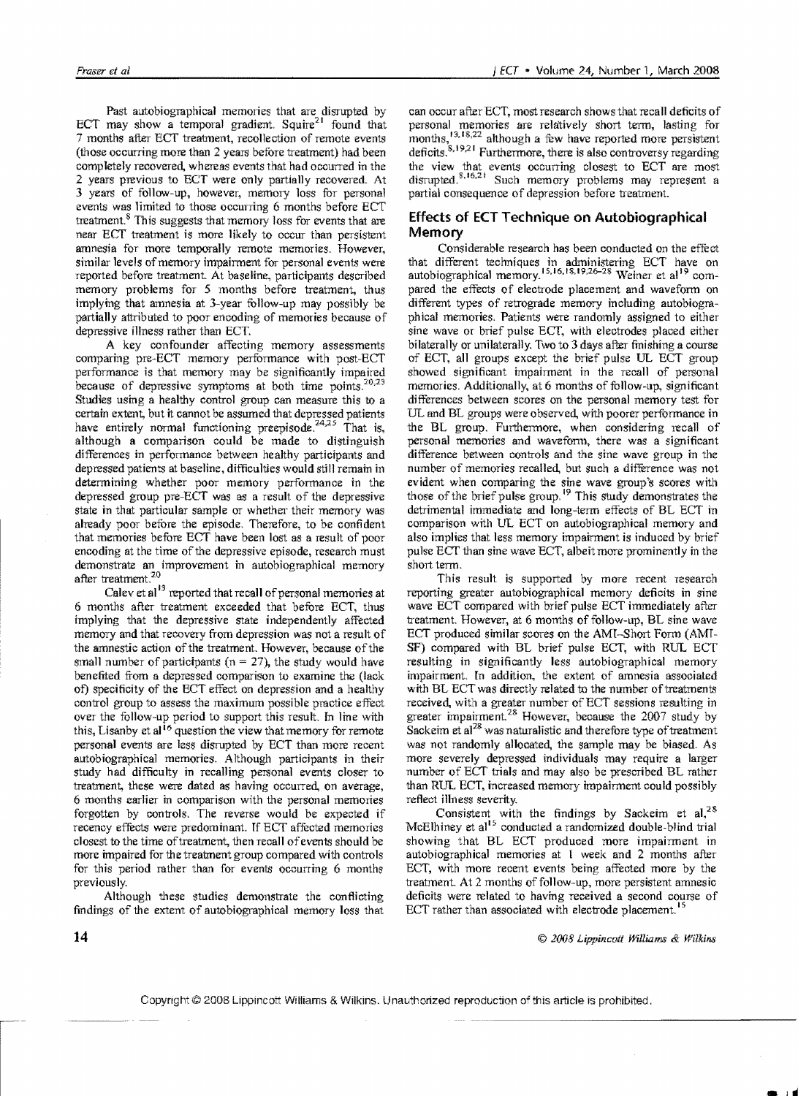Past autobiographical memories that are disrupted by ECT may show a temporal gradient. Squire<sup>21</sup> found that 7 months after ECT treatment, recollection of remote events (those occurring more than  $2$  years before treatment) had been completely recovered, whereas events that had occurred in the 2 years previous to ECT were only partially recovered. At 3 years of follow-up, however, memory loss for personal events was limited to those occurring 6 months before ECT treatment. $8$  This suggests that memory loss for events that are near ECT treatment is more likely to occur than persistent amnesia for more temporally remote memories. However, similar levels of memory impairment for personal events were reported before treatment At baseline, participants described memory problems for 5 months before treatment, thus implying that amnesia at 3-year fullow-up may possibly be partially attributed to poor encoding of memories because of depressive illness rather than ECT.

A key confounder affecting memory assessments comparing pre-ECT memory performance with post-ECT performance is that memory may be significantly impaired because of depressive symptoms at both time points.<sup>20,23</sup> Studies using a healthy control group can measure this to a certain extent, but it cannot be assumed that depressed patients have entirely normal functioning preepisode,  $24,25$  That is, although a comparison could be made to distinguish differences in performance between healthy participants and depressed patients at baseline, difficulties would still remain in determining whether poor memory performance in the depressed group pre-ECT was as a result of the depressive state in that particular sample or whether their memory was already poor before the episode. Therefore, to be confident that memories before ECT have been lost as a result of poor encoding at the time of the depressive episode, research must demonstrate an improvement in autobiographical memory after treatment.<sup>20</sup>

Calev et al<sup>13</sup> reported that recall of personal memories at 6 months after treatment exceeded that before ECT, thus implying that the depressive state independently affected memory and that recovery from depression was not a result of the amnestic action of the treatment. However, because of the small number of participants ( $n = 27$ ), the study would have benefited from a depressed comparison to examine the (lack of) specificity of the ECT effect on depression and a healthy control group to assess the maximum possible practice effect over the follow-up period to support this result. In line with this, Lisanby et al<sup>16</sup> question the view that memory for remote personal events are less disrupted by ECT than more recent autObiographical memories. Although participants in their study had difficulty in recalling personal events closer to treatment, these were dated as having occurred, on average, 6 months earlier in comparison with the personal memories forgotten by controls. The reverse would be expected if recency effects were predominant. If ECT affected memories closest to the time of treatment, then recall of events should be more impaired for the treatment group compared with controls for this period rather than for events occurring 6 months previously.

Although these studies demonstrate the conflicting findings of the extent of autobiographical memory loss that

can occur after ECT, most research shows that recall deficits of personal memories are relatively short term, lasting for months,<sup>13,18,22</sup> although a few have reported more persistent deficits. $8,19,21$  Furthermore, there is also controversy regarding the view that events occurring closest to ECT are most disrupted.<sup>8,16,21</sup> Such memory problems may represent a partial consequence of depression before treatment.

# **Effects of ECT Technique on Autobiographical Memory**

Considerable research has been conducted on the effect that different techniques in administering ECT have on autobiographical memory.<sup>15,16,18,19,26-28</sup> Weiner et al<sup>19</sup> compared the effects of electrode placement and waveform on different types of retrograde memory including autobiographical memories. Patients were randomly assigned to either sine wave or brief pulse ECT, with electrodes placed either bilaterally or unilaterally. Two to 3 days after finishing a course of ECT, all groups except the brief pulse UL ECT group showed significant impairment in the recall of personal memories. Additionally, at 6 months of follow-up, significant differences between scores on the personal memory test for UL and BL groups were observed, with poorer performance in the BL group. Furthermore, when considering recall of personal memories and waveform, there was a significant difference between controls and the sine wave group in the number of memories recalled, but such a difference was not evident when comparing the sine wave group's scores with those of the brief pulse group.<sup>19</sup> This study demonstrates the detrimental immediate and long-term effects of BL ECT in comparison with IJL ECT on autobiographical memory and also implies that less memory impairment is induced by brief pulse ECT than sine wave ECT, albeit more prominently in the short term.

This result is supported by more recent research reporting greater autobiographical memory deficits in sine wave ECT compared with brief pulse ECT immediately after treatment. However, at 6 months of follow-up, BL sine wave ECT produced similar scores on the AMI-Short Form (AMI-SF) compared with BL brief pulse ECT, with RUL ECT resulting in significantly less autobiographical memory impairment. In addition, the extent of amnesia associated with BL ECT was directly related to the number of treatments received, with a greater number of ECT sessions resulting in greater impairment.<sup>28</sup> However, because the 2007 study by Sackeim et al<sup>28</sup> was naturalistic and therefore type of treatment was not randomly allocated, the sample may be biased. As more severely depressed individuals may require a larger number of ECT trials and may also be prescribed BL rather than RUL ECT, increased memory impairment could possibly reflect iIIn ess severity.

Consistent with the findings by Sackeim et al,<sup>28</sup> McElhiney et al<sup>15</sup> conducted a randomized double-blind trial showing that BL ECT produced more impairment in autobiographical memories at 1 week and 2 months after ECT, with more recent events being affected more by the treatment. At 2 months of follow-up, more persistent amnesic deficits were related to having received a second course of ECT rather than associated with electrode placement.<sup>15</sup>

© 2(}()8 *Lippincmt Williams* & *Wilkilis*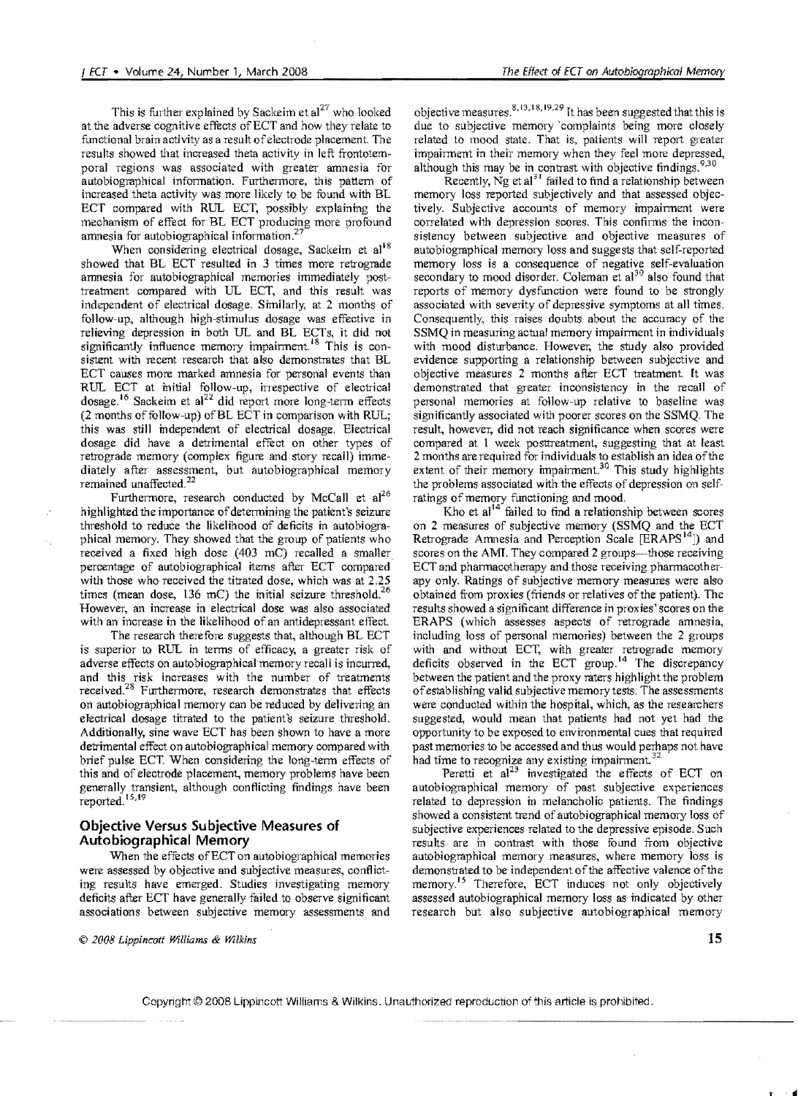This is further explained by Sackeim et al<sup>27</sup> who looked at the adverse cognitive effects ofECT and how they relate to functional brain activity as a result of electrode placement. The results showed that increased theta activity in left frontotemporal regions was associated with greater amnesia for autobiographical information. Furthermore, this pattern of increased theta activity was more likely to be found with BL ECT compared with RUL ECT, possibly explaining the mechanism of effect for BL ECT producing more profound amnesia for autobiographical information.<sup>2</sup>

When considering electrical dosage, Sackeim et al<sup>18</sup> showed that BL ECT resulted in 3 times more retrograde amnesia for autobiographical memories immediately posttreatment compared with UL ECT, and this result was independent of electrical dosage. Similarly, at 2 months of follow-up, although high-stimulus dosage was effective in relieving depression in both UL and BL ECTs, it did not significantly influence memory impairment.<sup>18</sup> This is consistent with recent research that also demonstrates that BL ECT causes more marked amnesia for personal events than RUL ECT at initial follow-up, irrespective of electrical dosage.<sup>16</sup> Sackeim et al<sup>22</sup> did report more long-term effects  $(2 \text{ months of follow-up})$  of BL ECT in comparison with RUL; this was still independent of electrical dosage. Electrical dosage did have a detrimental effect on other types of retrograde memory (complex figure and story recall) immediately after assessment, but autobiographical memory remained unaffected.<sup>22</sup>

Furthermore, research conducted by McCall et  $al^{26}$ highlighted the importance of determining the patient's seizure threshold to reduce the likelihood of deficits in autobiographical memory. They showed that the group of patients who received a fixed high dose (403 mC) recalled a smaller percentage of autobiographical items after ECT compared with those who received the titrated dose, which was at 2.25 times (mean dose, 136 mC) the initial seizure threshold.<sup>26</sup> However, an increase in electrical dose was also associated with an increase in the likelihood of an antidepressant effect.

The research therefore suggests that, although BL ECT is superior to RUL in terms of efficacy, a greater risk of adverse effects on autobiographical memory recall is incurred, and this risk increases with the number of treatments received?8 Furthermore, research demonstrates that effects on autobiographical memory can be reduced by delivering an electrical dosage titrated to the patient's seizure threshold. Additionally, sine wave ECT has been shown to have a more detrimental effect on autobiographical memory compared with brief pulse ECT. When considering the long-term effects of this and of electrode placement, memory problems have been generally transient, although conflicting findings nave been reported.<sup>15,19</sup>

# **Objective Versus Subjective Measures of Autobiographical Memory**

When the effects of ECT on autobiographical memories were assessed by objective and subjective measures, conflicting results have emerged. Studies investigating memory deficits after ECT have generally failed to observe significant associations between subjective memory assessments and

© *2008 Lippincmt Williams* & *Wilkins* 

objective measures.<sup>8,13,18,19,29</sup> It has been suggested that this is due to subjective memory 'complaints being more closely related to mood state. That is, patients will report greater impairment in their memory when they feel more depressed, although this may be in contrast with objective findings.  $9,30$ 

Recently, Ng et al<sup>31</sup> failed to find a relationship between memory loss reported subjectively and that assessed objectively. Subjective accounts of memory impairment were correlated with depression scores. This confirms the inconsistency between subjective and objective measures of autobiographical memory loss and suggests that self-reported memory loss is a consequence of negative self-evaluation secondary to mood disorder. Coleman et  $al<sup>30</sup>$  also found that reports of memory dysfunction were found to be strongly associated with severity of depressive symptoms at all times. Consequently, this raises doubts about the accuracy of the SSMQ in measuring actual memory impairment in individuals with mood disturbance. However, the study also provided evidence supporting a relationship between subjective and objective measures 2 months after ECT treatment. ft was demonstrated that greater inconsistency in the recall of personal memories at follow-up relative to baseline was significantly associated with poorer scores on the SSMO. The result, however, did not reach significance when scores were compared at 1 week posttreatment, suggesting that at least 2 months are required for individuals to establish an idea ofthe extent of their memory impairment.<sup>30</sup> This study highlights the problems associated with the effects of depression on selfratings of memory functioning and mood.

Kho et al $14^{\circ}$  failed to find a relationship between scores on 2 measures of subjective memory (SSMQ and the ECT Retrograde Amnesia and Perception Scale [ERAPS<sup>14</sup>]) and scores on the AMI. They compared 2 groups-those receiving ECT and pharmacotherapy and those receiving pharmacotherapy only. Ratings of subjective memory measures were also obtained from proxies (friends or relatives of the patient). The results showed a significant difference in proxies' scores on the ERAPS (which assesses aspects of retrograde amnesia, including loss of personal memories) between the 2 groups with and without ECT, with greater retrograde memory deficits observed in the ECT group.<sup>14</sup> The discrepancy between the patient and the proxy raters highlight the problem ofestablishing valid subjective memory tests. The assessments were conducted within the hospital, which, as the reseamhers suggested, would mean that patients had not yet had the opportunity to be exposed to environmental cues that required past memories to be accessed and thus would perhaps not have had time to recognize any existing impairment.<sup>3</sup>

Peretti et  $al^{23}$  investigated the effects of ECT on autobiographical memory of past subjective experiences related to depression in melancholic patients. The findings showed a consistent trend of autobiographical memory loss of subjective experiences related to the depressive episode. Such results are in contrast with those found from objective autobiographical memory measures, where memory loss is demonstrated to be independent of the affective valence of the memory.<sup>15</sup> Therefore, ECT induces not only objectively assessed autobiographical memory loss as indicated by other research but also subjective autobiographical memory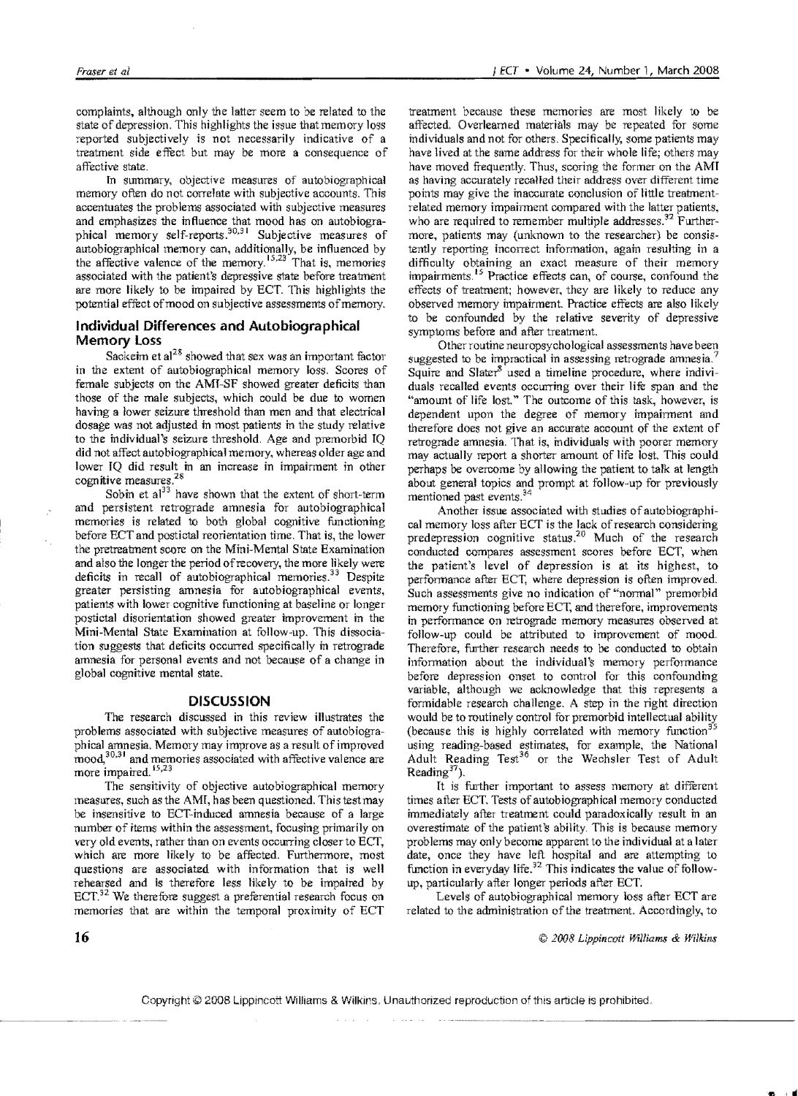complaints, although only the latter seem to be related to the state of depression. This highlights the issue that memory loss reported subjectively is not necessarily indicative of a treatment side effect but may be more a consequence of affective state.

In summary, objective measures of autobiographical memory often do not correlate with subjective accounts. This accentuates the problems associated with subjective measures and emphasizes the influence that mood has on autobiographical memory self-reports.<sup>30,31</sup> Subjective measures of autobiographical memory can, additionally, be influenced by the affective valence of the memory.<sup>15,23</sup> That is, memories associated with the patient's depressive state before treatment are more likely to be impaired by ECT. This highlights the potential effect of mood on subjective assessments of memory.

## **Individual Differences and Autobiographical Memory Loss**

Sackeim et  $a^{28}$  showed that sex was an important factor in the extent of autobiographical memory loss, Scores of female subjects on the AMf-SF showed greater deficits than those of the male subjects, which could be due to women having a lower seizure threshold than men and that electrical dosage was not adjusted in most patients in the study relative to the individual's seizure threshold. Age and premorbid  $IO$ did not affect autobiographical memory, whereas older age and lower IQ did result in an increase in impairment in other cognitive measures.<sup>28</sup>

Sobin et  $a^{13}$  have shown that the extent of short-term and persistent retrograde amnesia for autobiographical memories is related to both global cognitive functioning before ECT and postictal reorientation time. That is, the lower the pretreatment score on the Mini-Mental State Examination and also the longer the period of recovery, the more likely were deficits in recall of autobiographical memories.<sup>33</sup> Despite greater persisting amnesia for autobiographical events, patients with lower cognitive functioning at baseline or longer -postictal disorientation showed greater improvement in the Mini-Mental State Examination at follow-up, This dissociation suggests that deficits occurred specifically in retrograde amnesia for personal events and not because of a change in global cognitive mental state.

## **DISCUSSION**

The research discussed in this review illustrates the problems associated with subjective measures of autobiographical amnesia, Memory may improve as a result of improved mood,<sup>30,31</sup> and memories associated with affective valence are more impaired.  $^{15,23}$ 

The sensitivity of objective autobiographical memory measures, such as the AMI, has been questioned. This test may be insensitive to ECT-induced amnesia because of a large number of items within the assessment, focusing primarily on very old events, rather than on events occurring closer to ECT, which are more likely to be affected. Furthermore, most questions are associated with information that is well rehearsed and is therefore less likely to be impaired by  $ECT<sup>32</sup>$  We therefore suggest a preferential research focus on memories that are within the temporal proximity of ECT

treatment because these memories are most likely to be affected. Overlearned materials may be repeated for some individuals and not for others. Specifically, some patients may have lived at the same address for their whole life; others may have moved frequently. Thus, scoring the former on the AMI as having accurately recalled their address over different time points may give the inaccurate conclusion of little treatmentrelated memory impairment compared with the latter patients, who are required to remember multiple addresses. $32$  Furthermore, patients may (unknown to the researcher) be consistently reporting incorrect information, again resulting in a difficulty obtaining an exact measure of their memory impairments.<sup>15</sup> Practice effects can, of course, confound the effects of treatment; however, they are likely to reduce any observed memory impairment. Practice effects are also likely to be confounded by the relative severity of depressive symptoms before and after treatment.

Other routine neuropsychological assessments have been suggested to be impractical in assessing retrograde amnesia.<sup>7</sup> Squire and Slater $^8$  used a timeline procedure, where individuals recalled events occurring over their life span and the "amount of life lost" The outcome of this task, however, is dependent upon the degree of memory impairment and therefore does not give an accurate account of the extent of retrograde amnesia. That is, individuals with poorer memory may actually report a shorter amount of life lost This could perhaps be overcome by allowing the patient to talk at length about general topics and prompt at follow-up for previously mentioned past events.<sup>34</sup>

Another issue associated with studies of autobiographical memory loss after ECT is the lack of research considering predepression cognitive status.<sup>20</sup> Much of the research conducted compares assessment scores before ECT, when the patient's level of depression is at its highest, to performance after ECT, where depression is often improved. Such assessments give no indication of "normal" premorbid memory functioning before ECT, and therefore, improvements in performance on retrograde memory measures observed at follow-up could be attributed to improvement of mood. Therefore, further research needs to be conducted to obtain information about the individual's memory performance before depression onset to control for this confounding variable, although we acknowledge that this represents a formidable research challenge. A step in the right direction would be to routinely control for premorbid intellectual ability (because this is highly correlated with memory function<sup>35</sup> using reading-based estimates, for example, the National Adult Reading Test<sup>36</sup> or the Wechsler Test of Adult Reading $37$ ).

It is further important to assess memory at different times after ECT. Tests of autobiographical memory conducted immediately after treatment could paradoxically result in an overestimate of the patient's ability. This is because memory problems may only become apparent to the individual at a later date, once they have left hospital and are attempting to function in everyday life.<sup>32</sup> This indicates the value of followup, particularly after longer periods after ECT.

Levels of autobiographical memory loss after ECT are related to the administration of the treatment. Accordingly, to